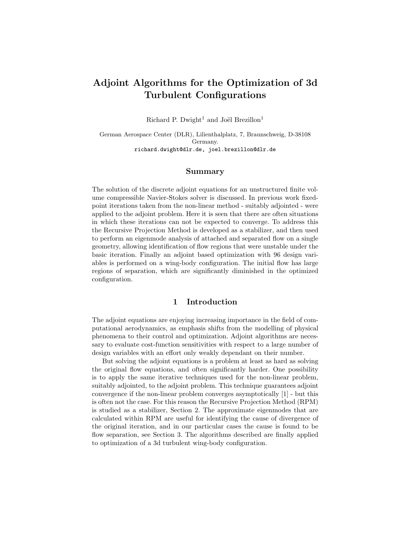# Adjoint Algorithms for the Optimization of 3d Turbulent Configurations

Richard P. Dwight<sup>1</sup> and Joël Brezillon<sup>1</sup>

German Aerospace Center (DLR), Lilienthalplatz, 7, Braunschweig, D-38108 Germany. richard.dwight@dlr.de, joel.brezillon@dlr.de

#### Summary

The solution of the discrete adjoint equations for an unstructured finite volume compressible Navier-Stokes solver is discussed. In previous work fixedpoint iterations taken from the non-linear method - suitably adjointed - were applied to the adjoint problem. Here it is seen that there are often situations in which these iterations can not be expected to converge. To address this the Recursive Projection Method is developed as a stabilizer, and then used to perform an eigenmode analysis of attached and separated flow on a single geometry, allowing identification of flow regions that were unstable under the basic iteration. Finally an adjoint based optimization with 96 design variables is performed on a wing-body configuration. The initial flow has large regions of separation, which are significantly diminished in the optimized configuration.

#### 1 Introduction

The adjoint equations are enjoying increasing importance in the field of computational aerodynamics, as emphasis shifts from the modelling of physical phenomena to their control and optimization. Adjoint algorithms are necessary to evaluate cost-function sensitivities with respect to a large number of design variables with an effort only weakly dependant on their number.

But solving the adjoint equations is a problem at least as hard as solving the original flow equations, and often significantly harder. One possibility is to apply the same iterative techniques used for the non-linear problem, suitably adjointed, to the adjoint problem. This technique guarantees adjoint convergence if the non-linear problem converges asymptotically [1] - but this is often not the case. For this reason the Recursive Projection Method (RPM) is studied as a stabilizer, Section 2. The approximate eigenmodes that are calculated within RPM are useful for identifying the cause of divergence of the original iteration, and in our particular cases the cause is found to be flow separation, see Section 3. The algorithms described are finally applied to optimization of a 3d turbulent wing-body configuration.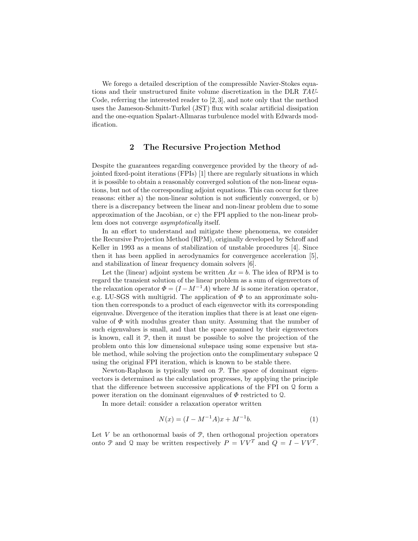We forego a detailed description of the compressible Navier-Stokes equations and their unstructured finite volume discretization in the DLR TAU-Code, referring the interested reader to [2, 3], and note only that the method uses the Jameson-Schmitt-Turkel (JST) flux with scalar artificial dissipation and the one-equation Spalart-Allmaras turbulence model with Edwards modification.

### 2 The Recursive Projection Method

Despite the guarantees regarding convergence provided by the theory of adjointed fixed-point iterations (FPIs) [1] there are regularly situations in which it is possible to obtain a reasonably converged solution of the non-linear equations, but not of the corresponding adjoint equations. This can occur for three reasons: either a) the non-linear solution is not sufficiently converged, or b) there is a discrepancy between the linear and non-linear problem due to some approximation of the Jacobian, or c) the FPI applied to the non-linear problem does not converge asymptotically itself.

In an effort to understand and mitigate these phenomena, we consider the Recursive Projection Method (RPM), originally developed by Schroff and Keller in 1993 as a means of stabilization of unstable procedures [4]. Since then it has been applied in aerodynamics for convergence acceleration [5], and stabilization of linear frequency domain solvers [6].

Let the (linear) adjoint system be written  $Ax = b$ . The idea of RPM is to regard the transient solution of the linear problem as a sum of eigenvectors of the relaxation operator  $\Phi = (I - M^{-1}A)$  where M is some iteration operator, e.g. LU-SGS with multigrid. The application of  $\Phi$  to an approximate solution then corresponds to a product of each eigenvector with its corresponding eigenvalue. Divergence of the iteration implies that there is at least one eigenvalue of  $\Phi$  with modulus greater than unity. Assuming that the number of such eigenvalues is small, and that the space spanned by their eigenvectors is known, call it P, then it must be possible to solve the projection of the problem onto this low dimensional subspace using some expensive but stable method, while solving the projection onto the complimentary subspace Q using the original FPI iteration, which is known to be stable there.

Newton-Raphson is typically used on P. The space of dominant eigenvectors is determined as the calculation progresses, by applying the principle that the difference between successive applications of the FPI on Q form a power iteration on the dominant eigenvalues of  $\Phi$  restricted to 2.

In more detail: consider a relaxation operator written

$$
N(x) = (I - M^{-1}A)x + M^{-1}b.
$$
 (1)

Let  $V$  be an orthonormal basis of  $P$ , then orthogonal projection operators onto P and Q may be written respectively  $P = V V^T$  and  $Q = I - V V^T$ .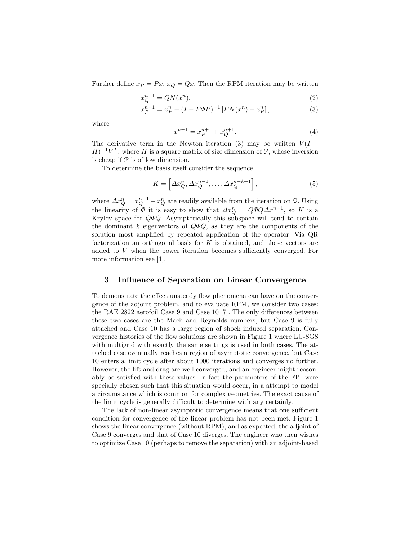Further define  $x_P = Px$ ,  $x_Q = Qx$ . Then the RPM iteration may be written

$$
x_Q^{n+1} = QN(x^n),\tag{2}
$$

$$
x_P^{n+1} = x_P^n + (I - P\Phi P)^{-1} [PN(x^n) - x_P^n], \tag{3}
$$

where

$$
x^{n+1} = x_P^{n+1} + x_Q^{n+1}.\tag{4}
$$

The derivative term in the Newton iteration (3) may be written  $V(I (H)^{-1}V^T$ , where H is a square matrix of size dimension of P, whose inversion is cheap if  $P$  is of low dimension.

To determine the basis itself consider the sequence

$$
K = \left[ \Delta x_Q^n, \Delta x_Q^{n-1}, \dots, \Delta x_Q^{n-k+1} \right],\tag{5}
$$

where  $\Delta x_Q^n = x_Q^{n+1} - x_Q^n$  are readily available from the iteration on Q. Using the linearity of  $\Phi$  it is easy to show that  $\Delta x_Q^n = Q \Phi Q \Delta x^{n-1}$ , so K is a Krylov space for  $Q\Phi Q$ . Asymptotically this subspace will tend to contain the dominant k eigenvectors of  $Q\Phi Q$ , as they are the components of the solution most amplified by repeated application of the operator. Via QR factorization an orthogonal basis for  $K$  is obtained, and these vectors are added to V when the power iteration becomes sufficiently converged. For more information see [1].

#### 3 Influence of Separation on Linear Convergence

To demonstrate the effect unsteady flow phenomena can have on the convergence of the adjoint problem, and to evaluate RPM, we consider two cases: the RAE 2822 aerofoil Case 9 and Case 10 [7]. The only differences between these two cases are the Mach and Reynolds numbers, but Case 9 is fully attached and Case 10 has a large region of shock induced separation. Convergence histories of the flow solutions are shown in Figure 1 where LU-SGS with multigrid with exactly the same settings is used in both cases. The attached case eventually reaches a region of asymptotic convergence, but Case 10 enters a limit cycle after about 1000 iterations and converges no further. However, the lift and drag are well converged, and an engineer might reasonably be satisfied with these values. In fact the parameters of the FPI were specially chosen such that this situation would occur, in a attempt to model a circumstance which is common for complex geometries. The exact cause of the limit cycle is generally difficult to determine with any certainly.

The lack of non-linear asymptotic convergence means that one sufficient condition for convergence of the linear problem has not been met. Figure 1 shows the linear convergence (without RPM), and as expected, the adjoint of Case 9 converges and that of Case 10 diverges. The engineer who then wishes to optimize Case 10 (perhaps to remove the separation) with an adjoint-based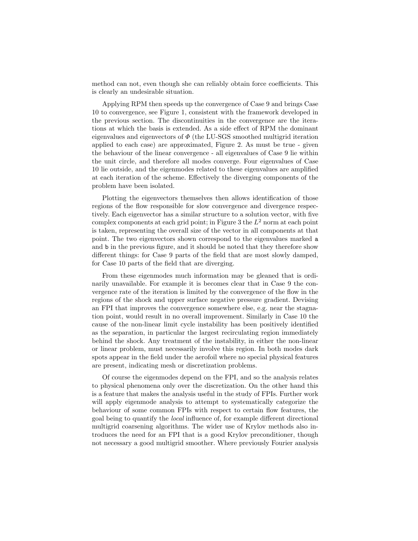method can not, even though she can reliably obtain force coefficients. This is clearly an undesirable situation.

Applying RPM then speeds up the convergence of Case 9 and brings Case 10 to convergence, see Figure 1, consistent with the framework developed in the previous section. The discontinuities in the convergence are the iterations at which the basis is extended. As a side effect of RPM the dominant eigenvalues and eigenvectors of  $\Phi$  (the LU-SGS smoothed multigrid iteration applied to each case) are approximated, Figure 2. As must be true - given the behaviour of the linear convergence - all eigenvalues of Case 9 lie within the unit circle, and therefore all modes converge. Four eigenvalues of Case 10 lie outside, and the eigenmodes related to these eigenvalues are amplified at each iteration of the scheme. Effectively the diverging components of the problem have been isolated.

Plotting the eigenvectors themselves then allows identification of those regions of the flow responsible for slow convergence and divergence respectively. Each eigenvector has a similar structure to a solution vector, with five complex components at each grid point; in Figure 3 the  $L^2$  norm at each point is taken, representing the overall size of the vector in all components at that point. The two eigenvectors shown correspond to the eigenvalues marked a and b in the previous figure, and it should be noted that they therefore show different things: for Case 9 parts of the field that are most slowly damped, for Case 10 parts of the field that are diverging.

From these eigenmodes much information may be gleaned that is ordinarily unavailable. For example it is becomes clear that in Case 9 the convergence rate of the iteration is limited by the convergence of the flow in the regions of the shock and upper surface negative pressure gradient. Devising an FPI that improves the convergence somewhere else, e.g. near the stagnation point, would result in no overall improvement. Similarly in Case 10 the cause of the non-linear limit cycle instability has been positively identified as the separation, in particular the largest recirculating region immediately behind the shock. Any treatment of the instability, in either the non-linear or linear problem, must necessarily involve this region. In both modes dark spots appear in the field under the aerofoil where no special physical features are present, indicating mesh or discretization problems.

Of course the eigenmodes depend on the FPI, and so the analysis relates to physical phenomena only over the discretization. On the other hand this is a feature that makes the analysis useful in the study of FPIs. Further work will apply eigenmode analysis to attempt to systematically categorize the behaviour of some common FPIs with respect to certain flow features, the goal being to quantify the local influence of, for example different directional multigrid coarsening algorithms. The wider use of Krylov methods also introduces the need for an FPI that is a good Krylov preconditioner, though not necessary a good multigrid smoother. Where previously Fourier analysis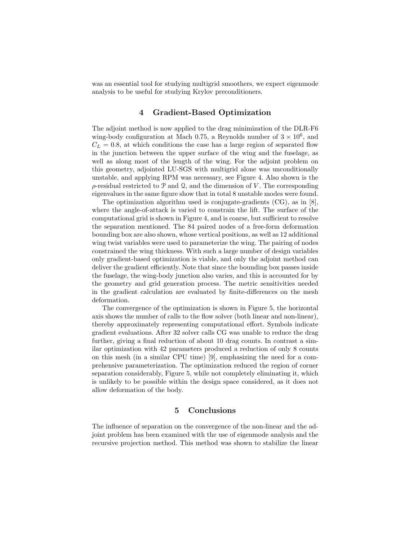was an essential tool for studying multigrid smoothers, we expect eigenmode analysis to be useful for studying Krylov preconditioners.

# 4 Gradient-Based Optimization

The adjoint method is now applied to the drag minimization of the DLR-F6 wing-body configuration at Mach 0.75, a Reynolds number of  $3 \times 10^6$ , and  $C_L = 0.8$ , at which conditions the case has a large region of separated flow in the junction between the upper surface of the wing and the fuselage, as well as along most of the length of the wing. For the adjoint problem on this geometry, adjointed LU-SGS with multigrid alone was unconditionally unstable, and applying RPM was necessary, see Figure 4. Also shown is the  $\rho$ -residual restricted to P and Q, and the dimension of V. The corresponding eigenvalues in the same figure show that in total 8 unstable modes were found.

The optimization algorithm used is conjugate-gradients (CG), as in [8], where the angle-of-attack is varied to constrain the lift. The surface of the computational grid is shown in Figure 4, and is coarse, but sufficient to resolve the separation mentioned. The 84 paired nodes of a free-form deformation bounding box are also shown, whose vertical positions, as well as 12 additional wing twist variables were used to parameterize the wing. The pairing of nodes constrained the wing thickness. With such a large number of design variables only gradient-based optimization is viable, and only the adjoint method can deliver the gradient efficiently. Note that since the bounding box passes inside the fuselage, the wing-body junction also varies, and this is accounted for by the geometry and grid generation process. The metric sensitivities needed in the gradient calculation are evaluated by finite-differences on the mesh deformation.

The convergence of the optimization is shown in Figure 5, the horizontal axis shows the number of calls to the flow solver (both linear and non-linear), thereby approximately representing computational effort. Symbols indicate gradient evaluations. After 32 solver calls CG was unable to reduce the drag further, giving a final reduction of about 10 drag counts. In contrast a similar optimization with 42 parameters produced a reduction of only 8 counts on this mesh (in a similar CPU time) [9], emphasizing the need for a comprehensive parameterization. The optimization reduced the region of corner separation considerably, Figure 5, while not completely eliminating it, which is unlikely to be possible within the design space considered, as it does not allow deformation of the body.

## 5 Conclusions

The influence of separation on the convergence of the non-linear and the adjoint problem has been examined with the use of eigenmode analysis and the recursive projection method. This method was shown to stabilize the linear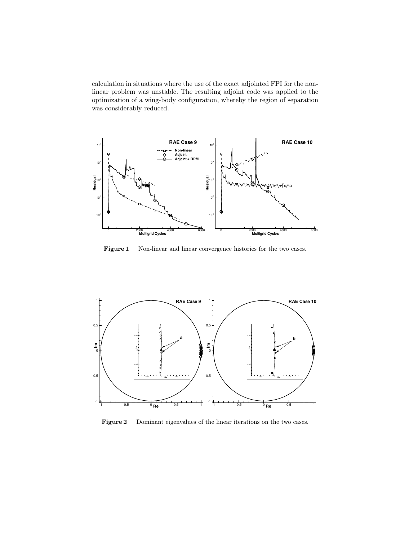calculation in situations where the use of the exact adjointed FPI for the nonlinear problem was unstable. The resulting adjoint code was applied to the optimization of a wing-body configuration, whereby the region of separation was considerably reduced.



Figure 1 Non-linear and linear convergence histories for the two cases.



Figure 2 Dominant eigenvalues of the linear iterations on the two cases.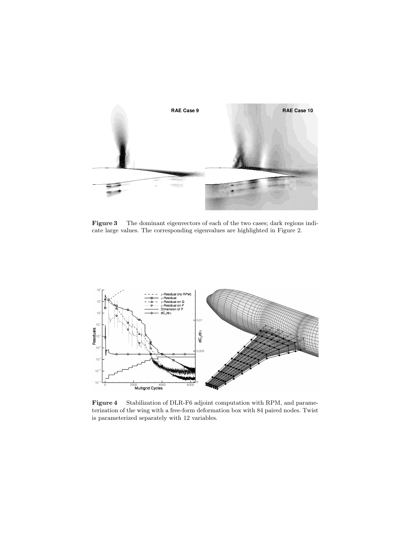

Figure 3 The dominant eigenvectors of each of the two cases; dark regions indicate large values. The corresponding eigenvalues are highlighted in Figure 2.



Figure 4 Stabilization of DLR-F6 adjoint computation with RPM, and parameterization of the wing with a free-form deformation box with 84 paired nodes. Twist is parameterized separately with 12 variables.